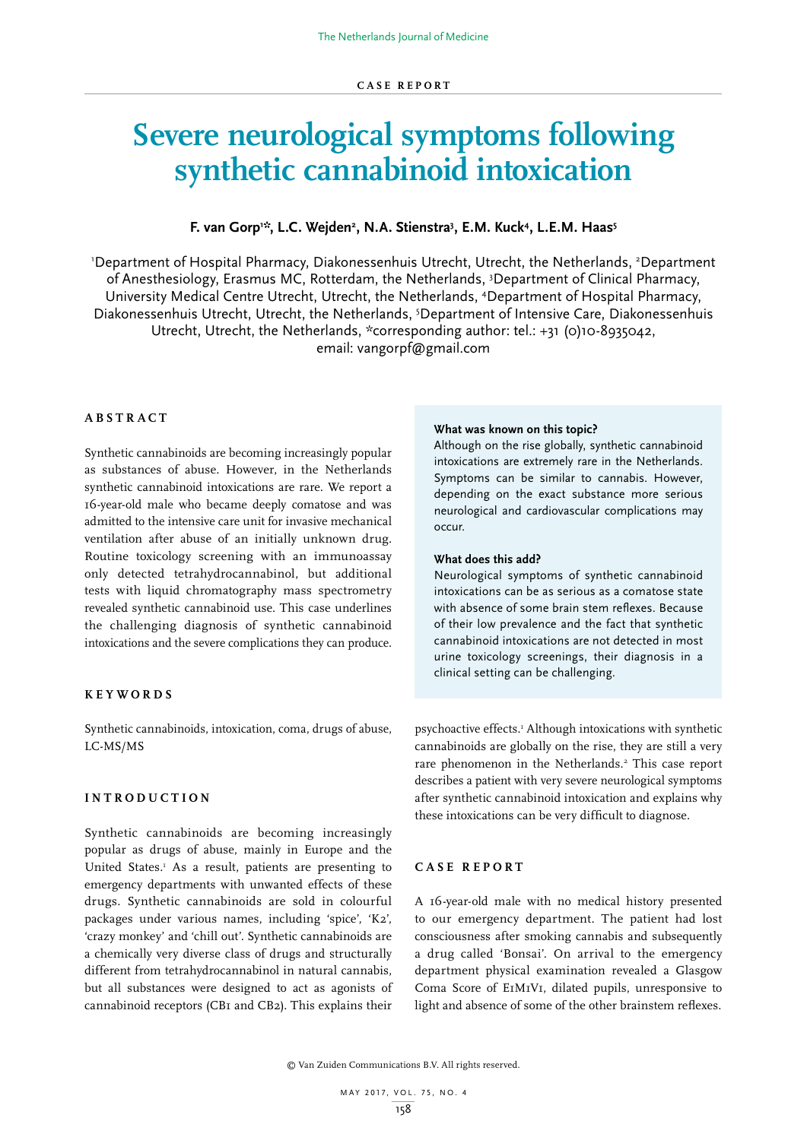# **Severe neurological symptoms following synthetic cannabinoid intoxication**

# **F. van Gorp1 \*, L.C. Wejden2 , N.A. Stienstra3 , E.M. Kuck4 , L.E.M. Haas5**

'Department of Hospital Pharmacy, Diakonessenhuis Utrecht, Utrecht, the Netherlands, <sup>2</sup>Department of Anesthesiology, Erasmus MC, Rotterdam, the Netherlands, 3 Department of Clinical Pharmacy, University Medical Centre Utrecht, Utrecht, the Netherlands, 4 Department of Hospital Pharmacy, Diakonessenhuis Utrecht, Utrecht, the Netherlands, <sup>5</sup>Department of Intensive Care, Diakonessenhuis Utrecht, Utrecht, the Netherlands, \*corresponding author: tel.: +31 (0)10-8935042, email: vangorpf@gmail.com

# **ABSTRACT**

Synthetic cannabinoids are becoming increasingly popular as substances of abuse. However, in the Netherlands synthetic cannabinoid intoxications are rare. We report a 16-year-old male who became deeply comatose and was admitted to the intensive care unit for invasive mechanical ventilation after abuse of an initially unknown drug. Routine toxicology screening with an immunoassay only detected tetrahydrocannabinol, but additional tests with liquid chromatography mass spectrometry revealed synthetic cannabinoid use. This case underlines the challenging diagnosis of synthetic cannabinoid intoxications and the severe complications they can produce.

### **KEYWORDS**

Synthetic cannabinoids, intoxication, coma, drugs of abuse, LC-MS/MS

### **INTRODUCTION**

Synthetic cannabinoids are becoming increasingly popular as drugs of abuse, mainly in Europe and the United States.<sup>1</sup> As a result, patients are presenting to emergency departments with unwanted effects of these drugs. Synthetic cannabinoids are sold in colourful packages under various names, including 'spice', 'K2', 'crazy monkey' and 'chill out'. Synthetic cannabinoids are a chemically very diverse class of drugs and structurally different from tetrahydrocannabinol in natural cannabis, but all substances were designed to act as agonists of cannabinoid receptors (CB1 and CB2). This explains their

### **What was known on this topic?**

Although on the rise globally, synthetic cannabinoid intoxications are extremely rare in the Netherlands. Symptoms can be similar to cannabis. However, depending on the exact substance more serious neurological and cardiovascular complications may occur.

## **What does this add?**

Neurological symptoms of synthetic cannabinoid intoxications can be as serious as a comatose state with absence of some brain stem reflexes. Because of their low prevalence and the fact that synthetic cannabinoid intoxications are not detected in most urine toxicology screenings, their diagnosis in a clinical setting can be challenging.

psychoactive effects.<sup>1</sup> Although intoxications with synthetic cannabinoids are globally on the rise, they are still a very rare phenomenon in the Netherlands.<sup>2</sup> This case report describes a patient with very severe neurological symptoms after synthetic cannabinoid intoxication and explains why these intoxications can be very difficult to diagnose.

## **CASE REPORT**

A 16-year-old male with no medical history presented to our emergency department. The patient had lost consciousness after smoking cannabis and subsequently a drug called 'Bonsai'. On arrival to the emergency department physical examination revealed a Glasgow Coma Score of E1M1V1, dilated pupils, unresponsive to light and absence of some of the other brainstem reflexes.

© Van Zuiden Communications B.V. All rights reserved.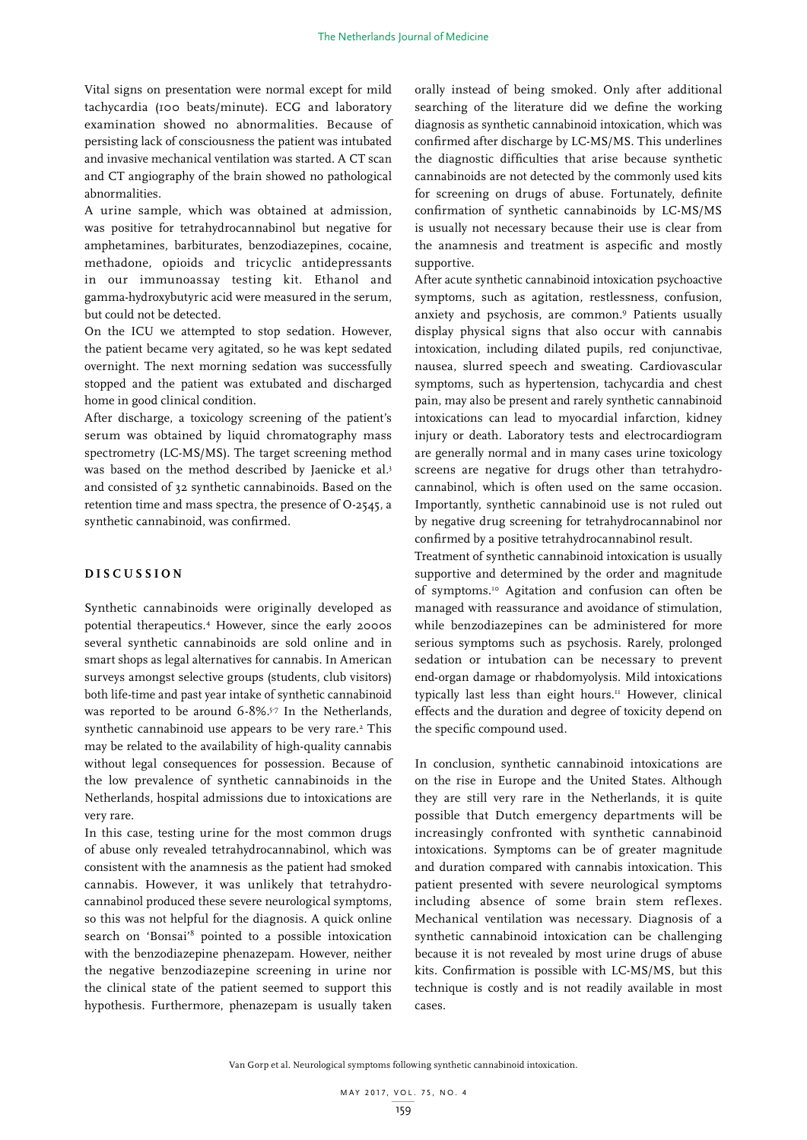Vital signs on presentation were normal except for mild tachycardia (100 beats/minute). ECG and laboratory examination showed no abnormalities. Because of persisting lack of consciousness the patient was intubated and invasive mechanical ventilation was started. A CT scan and CT angiography of the brain showed no pathological abnormalities.

A urine sample, which was obtained at admission, was positive for tetrahydrocannabinol but negative for amphetamines, barbiturates, benzodiazepines, cocaine, methadone, opioids and tricyclic antidepressants in our immunoassay testing kit. Ethanol and gamma-hydroxybutyric acid were measured in the serum, but could not be detected.

On the ICU we attempted to stop sedation. However, the patient became very agitated, so he was kept sedated overnight. The next morning sedation was successfully stopped and the patient was extubated and discharged home in good clinical condition.

After discharge, a toxicology screening of the patient's serum was obtained by liquid chromatography mass spectrometry (LC-MS/MS). The target screening method was based on the method described by Jaenicke et al.<sup>3</sup> and consisted of 32 synthetic cannabinoids. Based on the retention time and mass spectra, the presence of O-2545, a synthetic cannabinoid, was confirmed.

## **DISCUSSION**

Synthetic cannabinoids were originally developed as potential therapeutics.4 However, since the early 2000s several synthetic cannabinoids are sold online and in smart shops as legal alternatives for cannabis. In American surveys amongst selective groups (students, club visitors) both life-time and past year intake of synthetic cannabinoid was reported to be around 6-8%.<sup>5-7</sup> In the Netherlands, synthetic cannabinoid use appears to be very rare.<sup>2</sup> This may be related to the availability of high-quality cannabis without legal consequences for possession. Because of the low prevalence of synthetic cannabinoids in the Netherlands, hospital admissions due to intoxications are very rare.

In this case, testing urine for the most common drugs of abuse only revealed tetrahydrocannabinol, which was consistent with the anamnesis as the patient had smoked cannabis. However, it was unlikely that tetrahydrocannabinol produced these severe neurological symptoms, so this was not helpful for the diagnosis. A quick online search on 'Bonsai'<sup>8</sup> pointed to a possible intoxication with the benzodiazepine phenazepam. However, neither the negative benzodiazepine screening in urine nor the clinical state of the patient seemed to support this hypothesis. Furthermore, phenazepam is usually taken

orally instead of being smoked. Only after additional searching of the literature did we define the working diagnosis as synthetic cannabinoid intoxication, which was confirmed after discharge by LC-MS/MS. This underlines the diagnostic difficulties that arise because synthetic cannabinoids are not detected by the commonly used kits for screening on drugs of abuse. Fortunately, definite confirmation of synthetic cannabinoids by LC-MS/MS is usually not necessary because their use is clear from the anamnesis and treatment is aspecific and mostly supportive.

After acute synthetic cannabinoid intoxication psychoactive symptoms, such as agitation, restlessness, confusion, anxiety and psychosis, are common.9 Patients usually display physical signs that also occur with cannabis intoxication, including dilated pupils, red conjunctivae, nausea, slurred speech and sweating. Cardiovascular symptoms, such as hypertension, tachycardia and chest pain, may also be present and rarely synthetic cannabinoid intoxications can lead to myocardial infarction, kidney injury or death. Laboratory tests and electrocardiogram are generally normal and in many cases urine toxicology screens are negative for drugs other than tetrahydrocannabinol, which is often used on the same occasion. Importantly, synthetic cannabinoid use is not ruled out by negative drug screening for tetrahydrocannabinol nor confirmed by a positive tetrahydrocannabinol result.

Treatment of synthetic cannabinoid intoxication is usually supportive and determined by the order and magnitude of symptoms.10 Agitation and confusion can often be managed with reassurance and avoidance of stimulation, while benzodiazepines can be administered for more serious symptoms such as psychosis. Rarely, prolonged sedation or intubation can be necessary to prevent end-organ damage or rhabdomyolysis. Mild intoxications typically last less than eight hours.<sup>11</sup> However, clinical effects and the duration and degree of toxicity depend on the specific compound used.

In conclusion, synthetic cannabinoid intoxications are on the rise in Europe and the United States. Although they are still very rare in the Netherlands, it is quite possible that Dutch emergency departments will be increasingly confronted with synthetic cannabinoid intoxications. Symptoms can be of greater magnitude and duration compared with cannabis intoxication. This patient presented with severe neurological symptoms including absence of some brain stem reflexes. Mechanical ventilation was necessary. Diagnosis of a synthetic cannabinoid intoxication can be challenging because it is not revealed by most urine drugs of abuse kits. Confirmation is possible with LC-MS/MS, but this technique is costly and is not readily available in most cases.

Van Gorp et al. Neurological symptoms following synthetic cannabinoid intoxication.